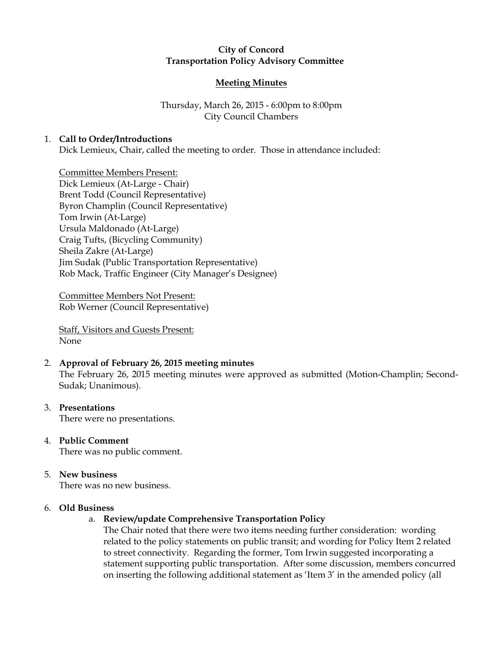# City of Concord Transportation Policy Advisory Committee

### Meeting Minutes

# Thursday, March 26, 2015 - 6:00pm to 8:00pm City Council Chambers

### 1. Call to Order/Introductions

Dick Lemieux, Chair, called the meeting to order. Those in attendance included:

Committee Members Present: Dick Lemieux (At-Large - Chair) Brent Todd (Council Representative) Byron Champlin (Council Representative) Tom Irwin (At-Large) Ursula Maldonado (At-Large) Craig Tufts, (Bicycling Community) Sheila Zakre (At-Large) Jim Sudak (Public Transportation Representative) Rob Mack, Traffic Engineer (City Manager's Designee)

Committee Members Not Present: Rob Werner (Council Representative)

Staff, Visitors and Guests Present: None

# 2. Approval of February 26, 2015 meeting minutes

The February 26, 2015 meeting minutes were approved as submitted (Motion-Champlin; Second-Sudak; Unanimous).

### 3. Presentations

There were no presentations.

4. Public Comment There was no public comment.

# 5. New business

There was no new business.

#### 6. Old Business

#### a. Review/update Comprehensive Transportation Policy

The Chair noted that there were two items needing further consideration: wording related to the policy statements on public transit; and wording for Policy Item 2 related to street connectivity. Regarding the former, Tom Irwin suggested incorporating a statement supporting public transportation. After some discussion, members concurred on inserting the following additional statement as 'Item 3' in the amended policy (all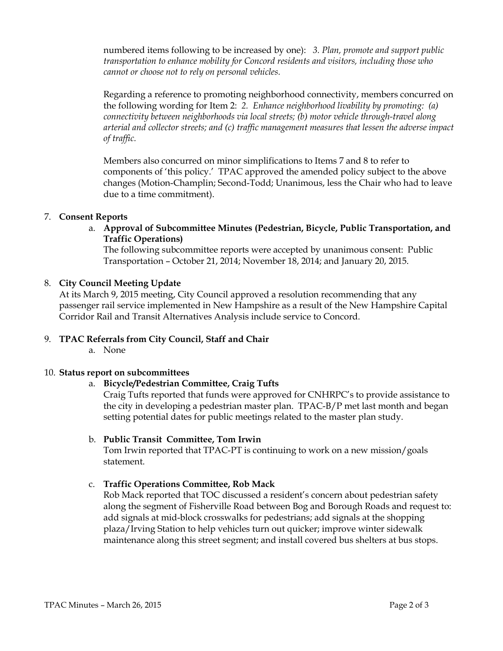numbered items following to be increased by one): 3. Plan, promote and support public transportation to enhance mobility for Concord residents and visitors, including those who cannot or choose not to rely on personal vehicles.

Regarding a reference to promoting neighborhood connectivity, members concurred on the following wording for Item 2: 2. Enhance neighborhood livability by promoting: (a) connectivity between neighborhoods via local streets; (b) motor vehicle through-travel along arterial and collector streets; and (c) traffic management measures that lessen the adverse impact of traffic.

Members also concurred on minor simplifications to Items 7 and 8 to refer to components of 'this policy.' TPAC approved the amended policy subject to the above changes (Motion-Champlin; Second-Todd; Unanimous, less the Chair who had to leave due to a time commitment).

### 7. Consent Reports

a. Approval of Subcommittee Minutes (Pedestrian, Bicycle, Public Transportation, and Traffic Operations)

The following subcommittee reports were accepted by unanimous consent: Public Transportation – October 21, 2014; November 18, 2014; and January 20, 2015.

### 8. City Council Meeting Update

At its March 9, 2015 meeting, City Council approved a resolution recommending that any passenger rail service implemented in New Hampshire as a result of the New Hampshire Capital Corridor Rail and Transit Alternatives Analysis include service to Concord.

# 9. TPAC Referrals from City Council, Staff and Chair

a. None

#### 10. Status report on subcommittees

### a. Bicycle/Pedestrian Committee, Craig Tufts

Craig Tufts reported that funds were approved for CNHRPC's to provide assistance to the city in developing a pedestrian master plan. TPAC-B/P met last month and began setting potential dates for public meetings related to the master plan study.

#### b. Public Transit Committee, Tom Irwin

Tom Irwin reported that TPAC-PT is continuing to work on a new mission/goals statement.

#### c. Traffic Operations Committee, Rob Mack

Rob Mack reported that TOC discussed a resident's concern about pedestrian safety along the segment of Fisherville Road between Bog and Borough Roads and request to: add signals at mid-block crosswalks for pedestrians; add signals at the shopping plaza/Irving Station to help vehicles turn out quicker; improve winter sidewalk maintenance along this street segment; and install covered bus shelters at bus stops.